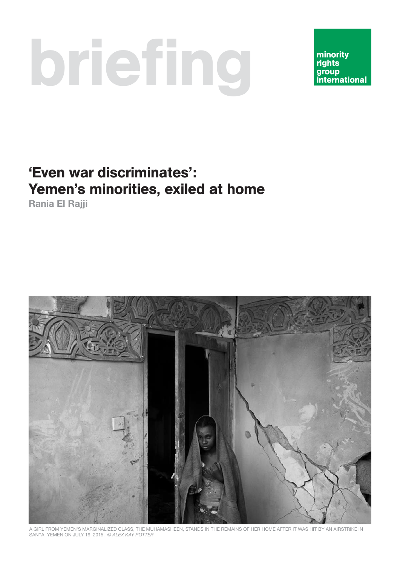# briefing

minority rights group **international** 

# 'Even war discriminates': Yemen's minorities, exiled at home

**Rania El Rajji**



A GIRL FROM YEMEN'S MARGINALIZED CLASS, THE MUHAMASHEEN, STANDS IN THE REMAINS OF HER HOME AFTER IT WAS HIT BY AN AIRSTRIKE IN SAN''A, YEMEN ON JULY 19, 2015. © ALEX KAY POTTER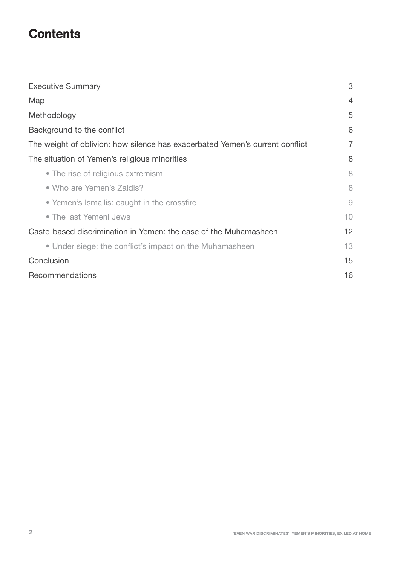# **Contents**

| <b>Executive Summary</b>                                                     | 3              |
|------------------------------------------------------------------------------|----------------|
| Map                                                                          | 4              |
| Methodology                                                                  | 5              |
| Background to the conflict                                                   | 6              |
| The weight of oblivion: how silence has exacerbated Yemen's current conflict | $\overline{7}$ |
| The situation of Yemen's religious minorities                                | 8              |
| • The rise of religious extremism                                            | 8              |
| • Who are Yemen's Zaidis?                                                    | 8              |
| • Yemen's Ismailis: caught in the crossfire                                  | 9              |
| • The last Yemeni Jews                                                       | 10             |
| Caste-based discrimination in Yemen: the case of the Muhamasheen             | 12             |
| • Under siege: the conflict's impact on the Muhamasheen                      | 13             |
| Conclusion                                                                   | 15             |
| Recommendations                                                              | 16             |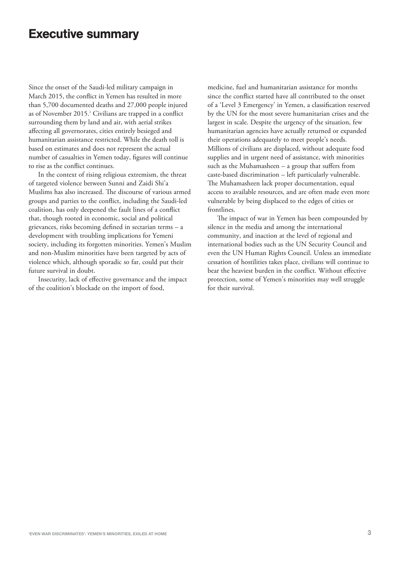#### Executive summary

Since the onset of the Saudi-led military campaign in March 2015, the conflict in Yemen has resulted in more than 5,700 documented deaths and 27,000 people injured as of November 2015.<sup>1</sup> Civilians are trapped in a conflict surrounding them by land and air, with aerial strikes affecting all governorates, cities entirely besieged and humanitarian assistance restricted. While the death toll is based on estimates and does not represent the actual number of casualties in Yemen today, figures will continue to rise as the conflict continues.

In the context of rising religious extremism, the threat of targeted violence between Sunni and Zaidi Shi'a Muslims has also increased. The discourse of various armed groups and parties to the conflict, including the Saudi-led coalition, has only deepened the fault lines of a conflict that, though rooted in economic, social and political grievances, risks becoming defined in sectarian terms – a development with troubling implications for Yemeni society, including its forgotten minorities. Yemen's Muslim and non-Muslim minorities have been targeted by acts of violence which, although sporadic so far, could put their future survival in doubt.

Insecurity, lack of effective governance and the impact of the coalition's blockade on the import of food,

medicine, fuel and humanitarian assistance for months since the conflict started have all contributed to the onset of a 'Level 3 Emergency' in Yemen, a classification reserved by the UN for the most severe humanitarian crises and the largest in scale. Despite the urgency of the situation, few humanitarian agencies have actually returned or expanded their operations adequately to meet people's needs. Millions of civilians are displaced, without adequate food supplies and in urgent need of assistance, with minorities such as the Muhamasheen – a group that suffers from caste-based discrimination – left particularly vulnerable. The Muhamasheen lack proper documentation, equal access to available resources, and are often made even more vulnerable by being displaced to the edges of cities or frontlines.

The impact of war in Yemen has been compounded by silence in the media and among the international community, and inaction at the level of regional and international bodies such as the UN Security Council and even the UN Human Rights Council. Unless an immediate cessation of hostilities takes place, civilians will continue to bear the heaviest burden in the conflict. Without effective protection, some of Yemen's minorities may well struggle for their survival.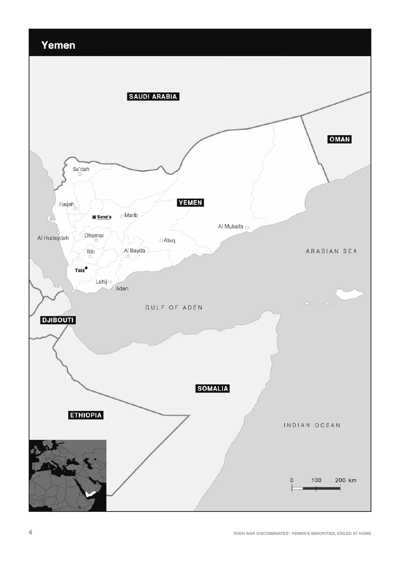# Yemen

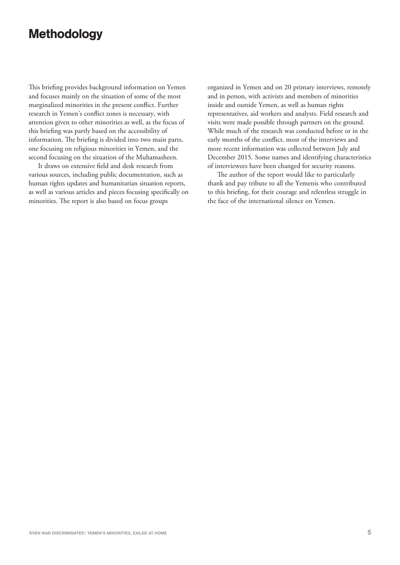# Methodology

This briefing provides background information on Yemen and focuses mainly on the situation of some of the most marginalized minorities in the present conflict. Further research in Yemen's conflict zones is necessary, with attention given to other minorities as well, as the focus of this briefing was partly based on the accessibility of information. The briefing is divided into two main parts, one focusing on religious minorities in Yemen, and the second focusing on the situation of the Muhamasheen.

It draws on extensive field and desk research from various sources, including public documentation, such as human rights updates and humanitarian situation reports, as well as various articles and pieces focusing specifically on minorities. The report is also based on focus groups

organized in Yemen and on 20 primary interviews, remotely and in person, with activists and members of minorities inside and outside Yemen, as well as human rights representatives, aid workers and analysts. Field research and visits were made possible through partners on the ground. While much of the research was conducted before or in the early months of the conflict, most of the interviews and more recent information was collected between July and December 2015. Some names and identifying characteristics of interviewees have been changed for security reasons.

The author of the report would like to particularly thank and pay tribute to all the Yemenis who contributed to this briefing, for their courage and relentless struggle in the face of the international silence on Yemen.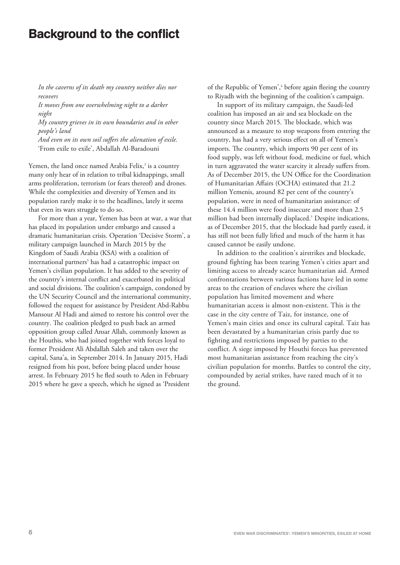## Background to the conflict

*In the caverns of its death my country neither dies nor recovers* 

*It moves from one overwhelming night to a darker night*

*My country grieves in its own boundaries and in other people's land*

*And even on its own soil suffers the alienation of exile.* 'From exile to exile', Abdallah Al-Baradouni

Yemen, the land once named Arabia Felix,<sup>2</sup> is a country many only hear of in relation to tribal kidnappings, small arms proliferation, terrorism (or fears thereof) and drones. While the complexities and diversity of Yemen and its population rarely make it to the headlines, lately it seems that even its wars struggle to do so.

For more than a year, Yemen has been at war, a war that has placed its population under embargo and caused a dramatic humanitarian crisis. Operation 'Decisive Storm', a military campaign launched in March 2015 by the Kingdom of Saudi Arabia (KSA) with a coalition of international partners<sup>3</sup> has had a catastrophic impact on Yemen's civilian population. It has added to the severity of the country's internal conflict and exacerbated its political and social divisions. The coalition's campaign, condoned by the UN Security Council and the international community, followed the request for assistance by President Abd-Rabbu Mansour Al Hadi and aimed to restore his control over the country. The coalition pledged to push back an armed opposition group called Ansar Allah, commonly known as the Houthis, who had joined together with forces loyal to former President Ali Abdallah Saleh and taken over the capital, Sana'a, in September 2014. In January 2015, Hadi resigned from his post, before being placed under house arrest. In February 2015 he fled south to Aden in February 2015 where he gave a speech, which he signed as 'President

of the Republic of Yemen',<sup>4</sup> before again fleeing the country to Riyadh with the beginning of the coalition's campaign.

In support of its military campaign, the Saudi-led coalition has imposed an air and sea blockade on the country since March 2015. The blockade, which was announced as a measure to stop weapons from entering the country, has had a very serious effect on all of Yemen's imports. The country, which imports 90 per cent of its food supply, was left without food, medicine or fuel, which in turn aggravated the water scarcity it already suffers from. As of December 2015, the UN Office for the Coordination of Humanitarian Affairs (OCHA) estimated that 21.2 million Yemenis, around 82 per cent of the country's population, were in need of humanitarian assistance: of these 14.4 million were food insecure and more than 2.5 million had been internally displaced.<sup>5</sup> Despite indications, as of December 2015, that the blockade had partly eased, it has still not been fully lifted and much of the harm it has caused cannot be easily undone.

In addition to the coalition's airstrikes and blockade, ground fighting has been tearing Yemen's cities apart and limiting access to already scarce humanitarian aid. Armed confrontations between various factions have led in some areas to the creation of enclaves where the civilian population has limited movement and where humanitarian access is almost non-existent. This is the case in the city centre of Taiz, for instance, one of Yemen's main cities and once its cultural capital. Taiz has been devastated by a humanitarian crisis partly due to fighting and restrictions imposed by parties to the conflict. A siege imposed by Houthi forces has prevented most humanitarian assistance from reaching the city's civilian population for months. Battles to control the city, compounded by aerial strikes, have razed much of it to the ground.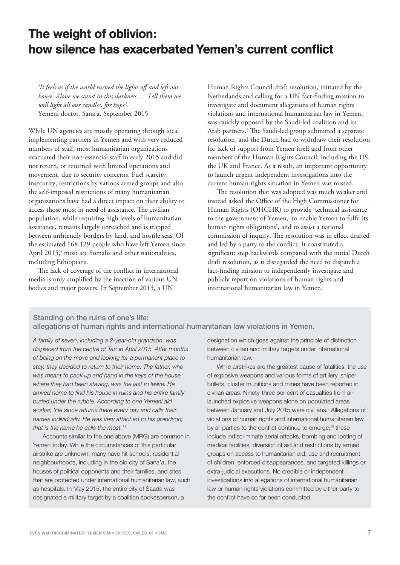# The weight of oblivion: how silence has exacerbated Yemen's current conflict

*'It feels as if the world turned the lights off and left our house. Alone we stand in this darkness.… Tell them we will light all our candles, for hope'.*  Yemeni doctor, Sana'a, September 2015

While UN agencies are mostly operating through local implementing partners in Yemen and with very reduced numbers of staff, most humanitarian organizations evacuated their non-essential staff in early 2015 and did not return, or returned with limited operations and movement, due to security concerns. Fuel scarcity, insecurity, restrictions by various armed groups and also the self-imposed restrictions of many humanitarian organizations have had a direct impact on their ability to access those most in need of assistance. The civilian population, while requiring high levels of humanitarian assistance, remains largely unreached and is trapped between unfriendly borders by land, and hostile seas. Of the estimated 168,129 people who have left Yemen since April 2015,<sup>6</sup> most are Somalis and other nationalities, including Ethiopians.

The lack of coverage of the conflict in international media is only amplified by the inaction of various UN bodies and major powers. In September 2015, a UN

Human Rights Council draft resolution, initiated by the Netherlands and calling for a UN fact-finding mission to investigate and document allegations of human rights violations and international humanitarian law in Yemen, was quickly opposed by the Saudi-led coalition and its Arab partners.<sup>7</sup> The Saudi-led group submitted a separate resolution, and the Dutch had to withdraw their resolution for lack of support from Yemen itself and from other members of the Human Rights Council, including the US, the UK and France. As a result, an important opportunity to launch urgent independent investigations into the current human rights situation in Yemen was missed.

The resolution that was adopted was much weaker and instead asked the Office of the High Commissioner for Human Rights (OHCHR) to provide 'technical assistance' to the government of Yemen, 'to enable Yemen to fulfil its human rights obligations', and to assist a national commission of inquiry. The resolution was in effect drafted and led by a party to the conflict. It constituted a significant step backwards compared with the initial Dutch draft resolution, as it disregarded the need to dispatch a fact-finding mission to independently investigate and publicly report on violations of human rights and international humanitarian law in Yemen.

#### Standing on the ruins of one's life: allegations of human rights and international humanitarian law violations in Yemen.

A family of seven, including a 2-year-old grandson, was displaced from the centre of Taiz in April 2015. After months of being on the move and looking for a permanent place to stay, they decided to return to their home. The father, who was meant to pack up and hand in the keys of the house where they had been staying, was the last to leave. He arrived home to find his house in ruins and his entire family buried under the rubble. According to one Yemeni aid worker, 'He since returns there every day and calls their names individually. He was very attached to his grandson, that is the name he calls the most.'<sup>8</sup>

Accounts similar to the one above (MRG) are common in Yemen today. While the circumstances of this particular airstrike are unknown, many have hit schools, residential neighbourhoods, including in the old city of Sana'a, the houses of political opponents and their families, and sites that are protected under international humanitarian law, such as hospitals. In May 2015, the entire city of Saada was designated a military target by a coalition spokesperson, a

designation which goes against the principle of distinction between civilian and military targets under international humanitarian law.

While airstrikes are the greatest cause of fatalities, the use of explosive weapons and various forms of artillery, sniper bullets, cluster munitions and mines have been reported in civilian areas. Ninety-three per cent of casualties from airlaunched explosive weapons alone on populated areas between January and July 2015 were civilians.<sup>9</sup> Allegations of violations of human rights and international humanitarian law by all parties to the conflict continue to emerge;<sup>10</sup> these include indiscriminate aerial attacks, bombing and looting of medical facilities, diversion of aid and restrictions by armed groups on access to humanitarian aid, use and recruitment of children, enforced disappearances, and targeted killings or extra-judicial executions. No credible or independent investigations into allegations of international humanitarian law or human rights violations committed by either party to the conflict have so far been conducted.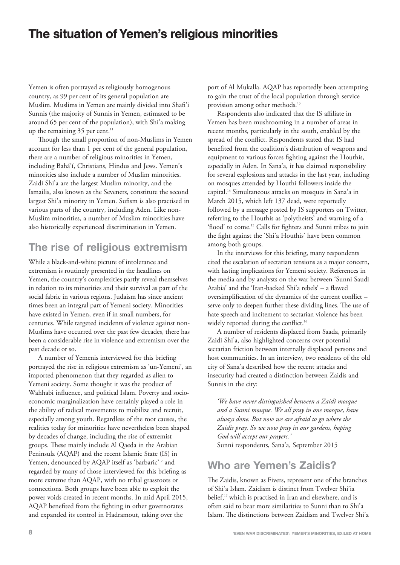# The situation of Yemen's religious minorities

Yemen is often portrayed as religiously homogenous country, as 99 per cent of its general population are Muslim. Muslims in Yemen are mainly divided into Shafi'i Sunnis (the majority of Sunnis in Yemen, estimated to be around 65 per cent of the population), with Shi'a making up the remaining  $35$  per cent.<sup>11</sup>

Though the small proportion of non-Muslims in Yemen account for less than 1 per cent of the general population, there are a number of religious minorities in Yemen, including Bahá'í, Christians, Hindus and Jews. Yemen's minorities also include a number of Muslim minorities. Zaidi Shi'a are the largest Muslim minority, and the Ismailis, also known as the Seveners, constitute the second largest Shi'a minority in Yemen. Sufism is also practised in various parts of the country, including Aden. Like non-Muslim minorities, a number of Muslim minorities have also historically experienced discrimination in Yemen.

### **The rise of religious extremism**

While a black-and-white picture of intolerance and extremism is routinely presented in the headlines on Yemen, the country's complexities partly reveal themselves in relation to its minorities and their survival as part of the social fabric in various regions. Judaism has since ancient times been an integral part of Yemeni society. Minorities have existed in Yemen, even if in small numbers, for centuries. While targeted incidents of violence against non-Muslims have occurred over the past few decades, there has been a considerable rise in violence and extremism over the past decade or so.

A number of Yemenis interviewed for this briefing portrayed the rise in religious extremism as 'un-Yemeni', an imported phenomenon that they regarded as alien to Yemeni society. Some thought it was the product of Wahhabi influence, and political Islam. Poverty and socioeconomic marginalization have certainly played a role in the ability of radical movements to mobilize and recruit, especially among youth. Regardless of the root causes, the realities today for minorities have nevertheless been shaped by decades of change, including the rise of extremist groups. These mainly include Al Qaeda in the Arabian Peninsula (AQAP) and the recent Islamic State (IS) in Yemen, denounced by AQAP itself as 'barbaric'<sup>12</sup> and regarded by many of those interviewed for this briefing as more extreme than AQAP, with no tribal grassroots or connections. Both groups have been able to exploit the power voids created in recent months. In mid April 2015, AQAP benefited from the fighting in other governorates and expanded its control in Hadramout, taking over the

port of Al Mukalla. AQAP has reportedly been attempting to gain the trust of the local population through service provision among other methods.<sup>13</sup>

Respondents also indicated that the IS affiliate in Yemen has been mushrooming in a number of areas in recent months, particularly in the south, enabled by the spread of the conflict. Respondents stated that IS had benefited from the coalition's distribution of weapons and equipment to various forces fighting against the Houthis, especially in Aden. In Sana'a, it has claimed responsibility for several explosions and attacks in the last year, including on mosques attended by Houthi followers inside the capital.14 Simultaneous attacks on mosques in Sana'a in March 2015, which left 137 dead, were reportedly followed by a message posted by IS supporters on Twitter, referring to the Houthis as 'polytheists' and warning of a 'flood' to come.<sup>15</sup> Calls for fighters and Sunni tribes to join the fight against the 'Shi'a Houthis' have been common among both groups.

In the interviews for this briefing, many respondents cited the escalation of sectarian tensions as a major concern, with lasting implications for Yemeni society. References in the media and by analysts on the war between 'Sunni Saudi Arabia' and the 'Iran-backed Shi'a rebels' – a flawed oversimplification of the dynamics of the current conflict – serve only to deepen further these dividing lines. The use of hate speech and incitement to sectarian violence has been widely reported during the conflict.<sup>16</sup>

A number of residents displaced from Saada, primarily Zaidi Shi'a, also highlighted concerns over potential sectarian friction between internally displaced persons and host communities. In an interview, two residents of the old city of Sana'a described how the recent attacks and insecurity had created a distinction between Zaidis and Sunnis in the city:

*'We have never distinguished between a Zaidi mosque and a Sunni mosque. We all pray in one mosque, have always done. But now we are afraid to go where the Zaidis pray. So we now pray in our gardens, hoping God will accept our prayers.'* Sunni respondents, Sana'a, September 2015

## **Who are Yemen's Zaidis?**

The Zaidis, known as Fivers, represent one of the branches of Shi'a Islam. Zaidism is distinct from Twelver Shi'ia belief,<sup>17</sup> which is practised in Iran and elsewhere, and is often said to bear more similarities to Sunni than to Shi'a Islam. The distinctions between Zaidism and Twelver Shi'a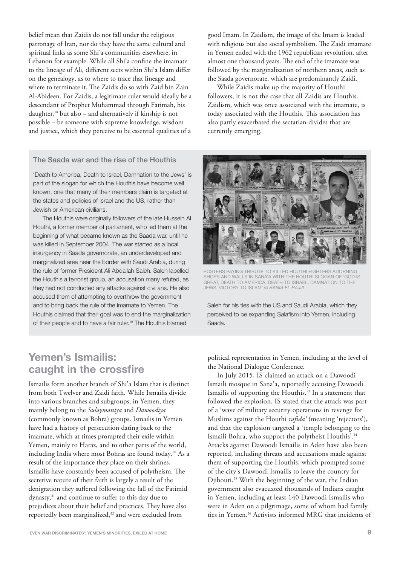belief mean that Zaidis do not fall under the religious patronage of Iran, nor do they have the same cultural and spiritual links as some Shi'a communities elsewhere, in Lebanon for example. While all Shi'a confine the imamate to the lineage of Ali, different sects within Shi'a Islam differ on the genealogy, as to where to trace that lineage and where to terminate it. The Zaidis do so with Zaid bin Zain Al-Abideen. For Zaidis, a legitimate ruler would ideally be a descendant of Prophet Muhammad through Fatimah, his daughter,<sup>18</sup> but also – and alternatively if kinship is not possible – be someone with supreme knowledge, wisdom and justice, which they perceive to be essential qualities of a

good Imam. In Zaidism, the image of the Imam is loaded with religious but also social symbolism. The Zaidi imamate in Yemen ended with the 1962 republican revolution, after almost one thousand years. The end of the imamate was followed by the marginalization of northern areas, such as the Saada governorate, which are predominantly Zaidi.

While Zaidis make up the majority of Houthi followers, it is not the case that all Zaidis are Houthis. Zaidism, which was once associated with the imamate, is today associated with the Houthis. This association has also partly exacerbated the sectarian divides that are currently emerging.

#### The Saada war and the rise of the Houthis

'Death to America, Death to Israel, Damnation to the Jews' is part of the slogan for which the Houthis have become well known, one that many of their members claim is targeted at the states and policies of Israel and the US, rather than Jewish or American civilians.

The Houthis were originally followers of the late Hussein Al Houthi, a former member of parliament, who led them at the beginning of what became known as the Saada war, until he was killed in September 2004. The war started as a local insurgency in Saada governorate, an underdeveloped and marginalized area near the border with Saudi Arabia, during the rule of former President Ali Abdallah Saleh. Saleh labelled the Houthis a terrorist group, an accusation many refuted, as they had not conducted any attacks against civilians. He also accused them of attempting to overthrow the government and to bring back the rule of the imamate to Yemen. The Houthis claimed that their goal was to end the marginalization of their people and to have a fair ruler.<sup>19</sup> The Houthis blamed



POSTERS PAYING TRIBUTE TO KILLED HOUTHI FIGHTERS ADORNING SHOPS AND WALLS IN SANA'A WITH THE HOUTHI SLOGAN OF 'GOD IS GREAT, DEATH TO AMERICA, DEATH TO ISRAEL, DAMNATION TO THE JEWS, VICTORY TO ISLAM' © RANIA EL RAJJI

Saleh for his ties with the US and Saudi Arabia, which they perceived to be expanding Salafism into Yemen, including Saada.

#### **Yemen's Ismailis: caught in the crossfire**

Ismailis form another branch of Shi'a Islam that is distinct from both Twelver and Zaidi faith. While Ismailis divide into various branches and subgroups, in Yemen, they mainly belong to the *Sulaymaniya* and *Dawoodiya* (commonly known as Bohra) groups. Ismailis in Yemen have had a history of persecution dating back to the imamate, which at times prompted their exile within Yemen, mainly to Haraz, and to other parts of the world, including India where most Bohras are found today.<sup>20</sup> As a result of the importance they place on their shrines, Ismailis have constantly been accused of polytheism. The secretive nature of their faith is largely a result of the denigration they suffered following the fall of the Fatimid dynasty,<sup>21</sup> and continue to suffer to this day due to prejudices about their belief and practices. They have also reportedly been marginalized,<sup>22</sup> and were excluded from

political representation in Yemen, including at the level of the National Dialogue Conference.

In July 2015, IS claimed an attack on a Dawoodi Ismaili mosque in Sana'a, reportedly accusing Dawoodi Ismailis of supporting the Houthis.<sup>23</sup> In a statement that followed the explosion, IS stated that the attack was part of a 'wave of military security operations in revenge for Muslims against the Houthi *rafida'* (meaning 'rejectors'), and that the explosion targeted a 'temple belonging to the Ismaili Bohra, who support the polytheist Houthis'.<sup>24</sup> Attacks against Dawoodi Ismailis in Aden have also been reported, including threats and accusations made against them of supporting the Houthis, which prompted some of the city's Dawoodi Ismailis to leave the country for Djibouti.25 With the beginning of the war, the Indian government also evacuated thousands of Indians caught in Yemen, including at least 140 Dawoodi Ismailis who were in Aden on a pilgrimage, some of whom had family ties in Yemen.<sup>26</sup> Activists informed MRG that incidents of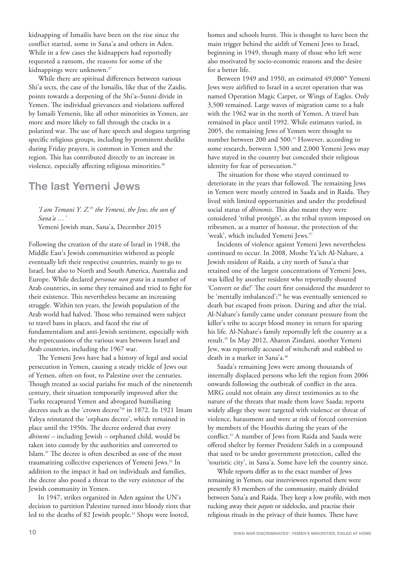kidnapping of Ismailis have been on the rise since the conflict started, some in Sana'a and others in Aden. While in a few cases the kidnappers had reportedly requested a ransom, the reasons for some of the kidnappings were unknown.<sup>27</sup>

While there are spiritual differences between various Shi'a sects, the case of the Ismailis, like that of the Zaidis, points towards a deepening of the Shi'a–Sunni divide in Yemen. The individual grievances and violations suffered by Ismaili Yemenis, like all other minorities in Yemen, are more and more likely to fall through the cracks in a polarized war. The use of hate speech and slogans targeting specific religious groups, including by prominent sheikhs during Friday prayers, is common in Yemen and the region. This has contributed directly to an increase in violence, especially affecting religious minorities.<sup>28</sup>

#### **The last Yemeni Jews**

*'I am Temani Y. Z.*<sup>29</sup> *the Yemeni, the Jew, the son of Sana'a …'*

Yemeni Jewish man, Sana'a, December 2015

Following the creation of the state of Israel in 1948, the Middle East's Jewish communities withered as people eventually left their respective countries, mainly to go to Israel, but also to North and South America, Australia and Europe. While declared *personae non grata* in a number of Arab countries, in some they remained and tried to fight for their existence. This nevertheless became an increasing struggle. Within ten years, the Jewish population of the Arab world had halved. Those who remained were subject to travel bans in places, and faced the rise of fundamentalism and anti-Jewish sentiment, especially with the repercussions of the various wars between Israel and Arab countries, including the 1967 war.

The Yemeni Jews have had a history of legal and social persecution in Yemen, causing a steady trickle of Jews out of Yemen, often on foot, to Palestine over the centuries. Though treated as social pariahs for much of the nineteenth century, their situation temporarily improved after the Turks recaptured Yemen and abrogated humiliating decrees such as the 'crown decree'30 in 1872. In 1921 Imam Yahya reinstated the 'orphans decree', which remained in place until the 1950s. The decree ordered that every *dhimmi* – including Jewish – orphaned child, would be taken into custody by the authorities and converted to Islam.31 The decree is often described as one of the most traumatizing collective experiences of Yemeni Jews.32 In addition to the impact it had on individuals and families, the decree also posed a threat to the very existence of the Jewish community in Yemen.

In 1947, strikes organized in Aden against the UN's decision to partition Palestine turned into bloody riots that led to the deaths of 82 Jewish people.<sup>33</sup> Shops were looted,

homes and schools burnt. This is thought to have been the main trigger behind the airlift of Yemeni Jews to Israel, beginning in 1949, though many of those who left were also motivated by socio-economic reasons and the desire for a better life.

Between 1949 and 1950, an estimated 49,000<sup>34</sup> Yemeni Jews were airlifted to Israel in a secret operation that was named Operation Magic Carpet, or Wings of Eagles. Only 3,500 remained. Large waves of migration came to a halt with the 1962 war in the north of Yemen. A travel ban remained in place until 1992. While estimates varied, in 2005, the remaining Jews of Yemen were thought to number between 200 and 500.<sup>35</sup> However, according to some research, between 1,500 and 2,000 Yemeni Jews may have stayed in the country but concealed their religious identity for fear of persecution.<sup>36</sup>

The situation for those who stayed continued to deteriorate in the years that followed. The remaining Jews in Yemen were mostly centred in Saada and in Raida. They lived with limited opportunities and under the predefined social status of *dhimmis*. This also meant they were considered 'tribal protégés', as the tribal system imposed on tribesmen, as a matter of honour, the protection of the 'weak', which included Yemeni Jews.<sup>37</sup>

Incidents of violence against Yemeni Jews nevertheless continued to occur. In 2008, Moshe Ya'ich Al-Nahare, a Jewish resident of Raida, a city north of Sana'a that retained one of the largest concentrations of Yemeni Jews, was killed by another resident who reportedly shouted 'Convert or die!' The court first considered the murderer to be 'mentally imbalanced';<sup>38</sup> he was eventually sentenced to death but escaped from prison. During and after the trial, Al-Nahare's family came under constant pressure from the killer's tribe to accept blood money in return for sparing his life. Al-Nahare's family reportedly left the country as a result.39 In May 2012, Aharon Zindani, another Yemeni Jew, was reportedly accused of witchcraft and stabbed to death in a market in Sana'a.40

Saada's remaining Jews were among thousands of internally displaced persons who left the region from 2006 onwards following the outbreak of conflict in the area. MRG could not obtain any direct testimonies as to the nature of the threats that made them leave Saada; reports widely allege they were targeted with violence or threat of violence, harassment and were at risk of forced conversion by members of the Houthis during the years of the conflict.41 A number of Jews from Raida and Saada were offered shelter by former President Saleh in a compound that used to be under government protection, called the 'touristic city', in Sana'a. Some have left the country since.

While reports differ as to the exact number of Jews remaining in Yemen, our interviewees reported there were presently 83 members of the community, mainly divided between Sana'a and Raida. They keep a low profile, with men tucking away their *payots* or sidelocks, and practise their religious rituals in the privacy of their homes. There have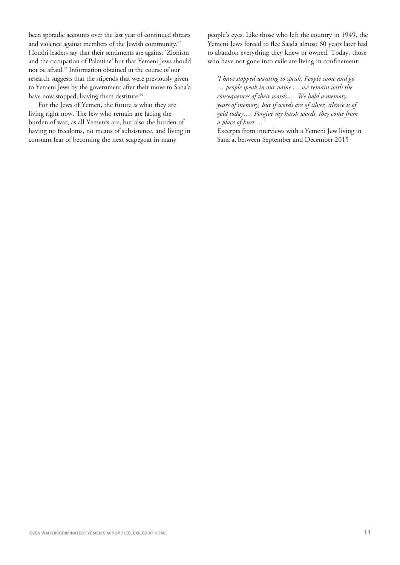been sporadic accounts over the last year of continued threats and violence against members of the Jewish community.<sup>42</sup> Houthi leaders say that their sentiments are against 'Zionism and the occupation of Palestine' but that Yemeni Jews should not be afraid.43 Information obtained in the course of our research suggests that the stipends that were previously given to Yemeni Jews by the government after their move to Sana'a have now stopped, leaving them destitute.<sup>44</sup>

For the Jews of Yemen, the future is what they are living right now. The few who remain are facing the burden of war, as all Yemenis are, but also the burden of having no freedoms, no means of subsistence, and living in constant fear of becoming the next scapegoat in many

people's eyes. Like those who left the country in 1949, the Yemeni Jews forced to flee Saada almost 60 years later had to abandon everything they knew or owned. Today, those who have not gone into exile are living in confinement:

*'I have stopped wanting to speak. People come and go … people speak in our name … we remain with the consequences of their words.… We hold a memory, years of memory, but if words are of silver, silence is of gold today…. Forgive my harsh words, they come from a place of hurt …'*

Excerpts from interviews with a Yemeni Jew living in Sana'a, between September and December 2015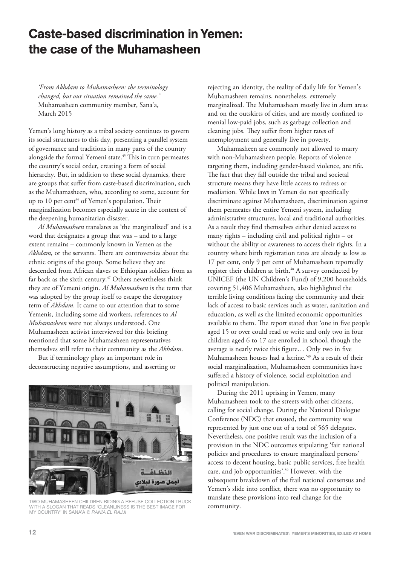# Caste-based discrimination in Yemen: the case of the Muhamasheen

*'From Akhdam to Muhamasheen: the terminology changed, but our situation remained the same.'* Muhamasheen community member, Sana'a, March 2015

Yemen's long history as a tribal society continues to govern its social structures to this day, presenting a parallel system of governance and traditions in many parts of the country alongside the formal Yemeni state.<sup>45</sup> This in turn permeates the country's social order, creating a form of social hierarchy. But, in addition to these social dynamics, there are groups that suffer from caste-based discrimination, such as the Muhamasheen, who, according to some, account for up to 10 per cent<sup>46</sup> of Yemen's population. Their marginalization becomes especially acute in the context of the deepening humanitarian disaster.

*Al Muhamasheen* translates as 'the marginalized' and is a word that designates a group that was – and to a large extent remains – commonly known in Yemen as the *Akhdam*, or the servants. There are controversies about the ethnic origins of the group. Some believe they are descended from African slaves or Ethiopian soldiers from as far back as the sixth century.<sup>47</sup> Others nevertheless think they are of Yemeni origin. *Al Muhamasheen* is the term that was adopted by the group itself to escape the derogatory term of *Akhdam*. It came to our attention that to some Yemenis, including some aid workers, references to *Al Muhamasheen* were not always understood. One Muhamasheen activist interviewed for this briefing mentioned that some Muhamasheen representatives themselves still refer to their community as the *Akhdam*.

But if terminology plays an important role in deconstructing negative assumptions, and asserting or



TWO MUHAMASHEEN CHILDREN RIDING A REFUSE COLLECTION TRUCK WITH A SLOGAN THAT READS 'CLEANLINESS IS THE BEST IMAGE FOR MY COUNTRY' IN SANA'A © RANIA EL RAJJI

rejecting an identity, the reality of daily life for Yemen's Muhamasheen remains, nonetheless, extremely marginalized. The Muhamasheen mostly live in slum areas and on the outskirts of cities, and are mostly confined to menial low-paid jobs, such as garbage collection and cleaning jobs. They suffer from higher rates of unemployment and generally live in poverty.

Muhamasheen are commonly not allowed to marry with non-Muhamasheen people. Reports of violence targeting them, including gender-based violence, are rife. The fact that they fall outside the tribal and societal structure means they have little access to redress or mediation. While laws in Yemen do not specifically discriminate against Muhamasheen, discrimination against them permeates the entire Yemeni system, including administrative structures, local and traditional authorities. As a result they find themselves either denied access to many rights – including civil and political rights – or without the ability or awareness to access their rights. In a country where birth registration rates are already as low as 17 per cent, only 9 per cent of Muhamasheen reportedly register their children at birth.<sup>48</sup> A survey conducted by UNICEF (the UN Children's Fund) of 9,200 households, covering 51,406 Muhamasheen, also highlighted the terrible living conditions facing the community and their lack of access to basic services such as water, sanitation and education, as well as the limited economic opportunities available to them. The report stated that 'one in five people aged 15 or over could read or write and only two in four children aged 6 to 17 are enrolled in school, though the average is nearly twice this figure… Only two in five Muhamasheen houses had a latrine.'49 As a result of their social marginalization, Muhamasheen communities have suffered a history of violence, social exploitation and political manipulation.

During the 2011 uprising in Yemen, many Muhamasheen took to the streets with other citizens, calling for social change. During the National Dialogue Conference (NDC) that ensued, the community was represented by just one out of a total of 565 delegates. Nevertheless, one positive result was the inclusion of a provision in the NDC outcomes stipulating 'fair national policies and procedures to ensure marginalized persons' access to decent housing, basic public services, free health care, and job opportunities'.50 However, with the subsequent breakdown of the frail national consensus and Yemen's slide into conflict, there was no opportunity to translate these provisions into real change for the community.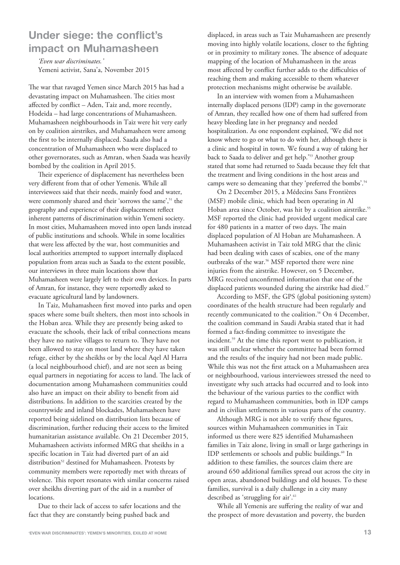## **Under siege: the conflict's impact on Muhamasheen**

*'Even war discriminates.'*  Yemeni activist, Sana'a, November 2015

The war that ravaged Yemen since March 2015 has had a devastating impact on Muhamasheen. The cities most affected by conflict – Aden, Taiz and, more recently, Hodeida – had large concentrations of Muhamasheen. Muhamasheen neighbourhoods in Taiz were hit very early on by coalition airstrikes, and Muhamasheen were among the first to be internally displaced. Saada also had a concentration of Muhamasheen who were displaced to other governorates, such as Amran, when Saada was heavily bombed by the coalition in April 2015.

Their experience of displacement has nevertheless been very different from that of other Yemenis. While all interviewees said that their needs, mainly food and water, were commonly shared and their 'sorrows the same',<sup>51</sup> the geography and experience of their displacement reflect inherent patterns of discrimination within Yemeni society. In most cities, Muhamasheen moved into open lands instead of public institutions and schools. While in some localities that were less affected by the war, host communities and local authorities attempted to support internally displaced population from areas such as Saada to the extent possible, our interviews in three main locations show that Muhamasheen were largely left to their own devices. In parts of Amran, for instance, they were reportedly asked to evacuate agricultural land by landowners.

In Taiz, Muhamasheen first moved into parks and open spaces where some built shelters, then most into schools in the Hoban area. While they are presently being asked to evacuate the schools, their lack of tribal connections means they have no native villages to return to. They have not been allowed to stay on most land where they have taken refuge, either by the sheikhs or by the local Aqel Al Harra (a local neighbourhood chief), and are not seen as being equal partners in negotiating for access to land. The lack of documentation among Muhamasheen communities could also have an impact on their ability to benefit from aid distributions. In addition to the scarcities created by the countrywide and inland blockades, Muhamasheen have reported being sidelined on distribution lists because of discrimination, further reducing their access to the limited humanitarian assistance available. On 21 December 2015, Muhamasheen activists informed MRG that sheikhs in a specific location in Taiz had diverted part of an aid distribution<sup>52</sup> destined for Muhamasheen. Protests by community members were reportedly met with threats of violence. This report resonates with similar concerns raised over sheikhs diverting part of the aid in a number of locations.

Due to their lack of access to safer locations and the fact that they are constantly being pushed back and

displaced, in areas such as Taiz Muhamasheen are presently moving into highly volatile locations, closer to the fighting or in proximity to military zones. The absence of adequate mapping of the location of Muhamasheen in the areas most affected by conflict further adds to the difficulties of reaching them and making accessible to them whatever protection mechanisms might otherwise be available.

In an interview with women from a Muhamasheen internally displaced persons (IDP) camp in the governorate of Amran, they recalled how one of them had suffered from heavy bleeding late in her pregnancy and needed hospitalization. As one respondent explained, 'We did not know where to go or what to do with her, although there is a clinic and hospital in town. We found a way of taking her back to Saada to deliver and get help.'53 Another group stated that some had returned to Saada because they felt that the treatment and living conditions in the host areas and camps were so demeaning that they 'preferred the bombs'.<sup>54</sup>

On 2 December 2015, a Médecins Sans Frontières (MSF) mobile clinic, which had been operating in Al Hoban area since October, was hit by a coalition airstrike.<sup>55</sup> MSF reported the clinic had provided urgent medical care for 480 patients in a matter of two days. The main displaced population of Al Hoban are Muhamasheen. A Muhamasheen activist in Taiz told MRG that the clinic had been dealing with cases of scabies, one of the many outbreaks of the war.<sup>56</sup> MSF reported there were nine injuries from the airstrike. However, on 5 December, MRG received unconfirmed information that one of the displaced patients wounded during the airstrike had died.<sup>57</sup>

According to MSF, the GPS (global positioning system) coordinates of the health structure had been regularly and recently communicated to the coalition.<sup>58</sup> On 4 December, the coalition command in Saudi Arabia stated that it had formed a fact-finding committee to investigate the incident.59 At the time this report went to publication, it was still unclear whether the committee had been formed and the results of the inquiry had not been made public. While this was not the first attack on a Muhamasheen area or neighbourhood, various interviewees stressed the need to investigate why such attacks had occurred and to look into the behaviour of the various parties to the conflict with regard to Muhamasheen communities, both in IDP camps and in civilian settlements in various parts of the country.

Although MRG is not able to verify these figures, sources within Muhamasheen communities in Taiz informed us there were 825 identified Muhamasheen families in Taiz alone, living in small or large gatherings in IDP settlements or schools and public buildings.<sup>60</sup> In addition to these families, the sources claim there are around 650 additional families spread out across the city in open areas, abandoned buildings and old houses. To these families, survival is a daily challenge in a city many described as 'struggling for air'.<sup>61</sup>

While all Yemenis are suffering the reality of war and the prospect of more devastation and poverty, the burden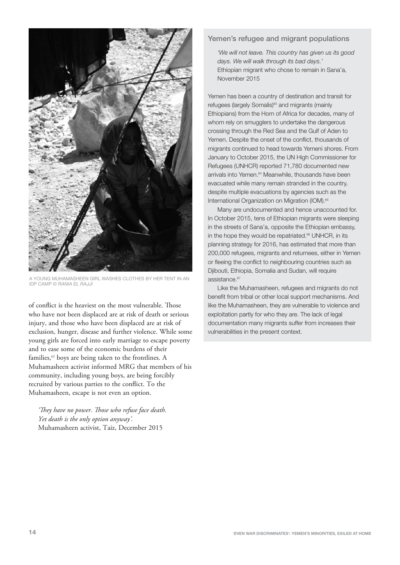

YOUNG MUHAMASHEEN GIRL WASHES CLOTHES BY HER TENT IN AN IDP CAMP © RANIA EL RAJJI

of conflict is the heaviest on the most vulnerable. Those who have not been displaced are at risk of death or serious injury, and those who have been displaced are at risk of exclusion, hunger, disease and further violence. While some young girls are forced into early marriage to escape poverty and to ease some of the economic burdens of their families,<sup>62</sup> boys are being taken to the frontlines. A Muhamasheen activist informed MRG that members of his community, including young boys, are being forcibly recruited by various parties to the conflict. To the Muhamasheen, escape is not even an option.

*'They have no power. Those who refuse face death. Yet death is the only option anyway'.*  Muhamasheen activist, Taiz, December 2015

#### Yemen's refugee and migrant populations

'We will not leave. This country has given us its good days. We will walk through its bad days.' Ethiopian migrant who chose to remain in Sana'a, November 2015

Yemen has been a country of destination and transit for refugees (largely Somalis)<sup>63</sup> and migrants (mainly Ethiopians) from the Horn of Africa for decades, many of whom rely on smugglers to undertake the dangerous crossing through the Red Sea and the Gulf of Aden to Yemen. Despite the onset of the conflict, thousands of migrants continued to head towards Yemeni shores. From January to October 2015, the UN High Commissioner for Refugees (UNHCR) reported 71,780 documented new arrivals into Yemen.<sup>64</sup> Meanwhile, thousands have been evacuated while many remain stranded in the country, despite multiple evacuations by agencies such as the International Organization on Migration (IOM).<sup>65</sup>

Many are undocumented and hence unaccounted for. In October 2015, tens of Ethiopian migrants were sleeping in the streets of Sana'a, opposite the Ethiopian embassy, in the hope they would be repatriated.<sup>66</sup> UNHCR, in its planning strategy for 2016, has estimated that more than 200,000 refugees, migrants and returnees, either in Yemen or fleeing the conflict to neighbouring countries such as Djibouti, Ethiopia, Somalia and Sudan, will require assistance.<sup>67</sup>

Like the Muhamasheen, refugees and migrants do not benefit from tribal or other local support mechanisms. And like the Muhamasheen, they are vulnerable to violence and exploitation partly for who they are. The lack of legal documentation many migrants suffer from increases their vulnerabilities in the present context.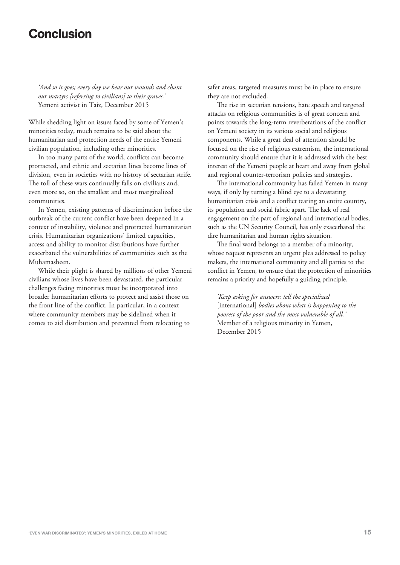## Conclusion

*'And so it goes; every day we bear our wounds and chant our martyrs [referring to civilians] to their graves.'*  Yemeni activist in Taiz, December 2015

While shedding light on issues faced by some of Yemen's minorities today, much remains to be said about the humanitarian and protection needs of the entire Yemeni civilian population, including other minorities.

In too many parts of the world, conflicts can become protracted, and ethnic and sectarian lines become lines of division, even in societies with no history of sectarian strife. The toll of these wars continually falls on civilians and, even more so, on the smallest and most marginalized communities.

In Yemen, existing patterns of discrimination before the outbreak of the current conflict have been deepened in a context of instability, violence and protracted humanitarian crisis. Humanitarian organizations' limited capacities, access and ability to monitor distributions have further exacerbated the vulnerabilities of communities such as the Muhamasheen.

While their plight is shared by millions of other Yemeni civilians whose lives have been devastated, the particular challenges facing minorities must be incorporated into broader humanitarian efforts to protect and assist those on the front line of the conflict. In particular, in a context where community members may be sidelined when it comes to aid distribution and prevented from relocating to

safer areas, targeted measures must be in place to ensure they are not excluded.

The rise in sectarian tensions, hate speech and targeted attacks on religious communities is of great concern and points towards the long-term reverberations of the conflict on Yemeni society in its various social and religious components. While a great deal of attention should be focused on the rise of religious extremism, the international community should ensure that it is addressed with the best interest of the Yemeni people at heart and away from global and regional counter-terrorism policies and strategies.

The international community has failed Yemen in many ways, if only by turning a blind eye to a devastating humanitarian crisis and a conflict tearing an entire country, its population and social fabric apart. The lack of real engagement on the part of regional and international bodies, such as the UN Security Council, has only exacerbated the dire humanitarian and human rights situation.

The final word belongs to a member of a minority, whose request represents an urgent plea addressed to policy makers, the international community and all parties to the conflict in Yemen, to ensure that the protection of minorities remains a priority and hopefully a guiding principle.

*'Keep asking for answers: tell the specialized* [international] *bodies about what is happening to the poorest of the poor and the most vulnerable of all.'* Member of a religious minority in Yemen, December 2015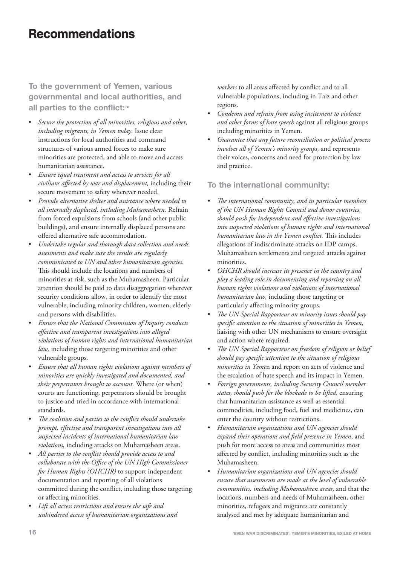# Recommendations

**To the government of Yemen, various governmental and local authorities, and all parties to the conflict:** <sup>68</sup>

- *Secure the protection of all minorities, religious and other, including migrants, in Yemen today.* Issue clear instructions for local authorities and command structures of various armed forces to make sure minorities are protected, and able to move and access humanitarian assistance.
- *Ensure equal treatment and access to services for all civilians affected by war and displacement,* including their secure movement to safety wherever needed.
- *Provide alternative shelter and assistance where needed to all internally displaced, including Muhamasheen.* Refrain from forced expulsions from schools (and other public buildings), and ensure internally displaced persons are offered alternative safe accommodation.
- *Undertake regular and thorough data collection and needs assessments and make sure the results are regularly communicated to UN and other humanitarian agencies.* This should include the locations and numbers of minorities at risk, such as the Muhamasheen. Particular attention should be paid to data disaggregation wherever security conditions allow, in order to identify the most vulnerable, including minority children, women, elderly and persons with disabilities.
- *Ensure that the National Commission of Inquiry conducts effective and transparent investigations into alleged violations of human rights and international humanitarian law,* including those targeting minorities and other vulnerable groups.
- *Ensure that all human rights violations against members of minorities are quickly investigated and documented, and their perpetrators brought to account.* Where (or when) courts are functioning, perpetrators should be brought to justice and tried in accordance with international standards.
- *The coalition and parties to the conflict should undertake prompt, effective and transparent investigations into all suspected incidents of international humanitarian law violations,* including attacks on Muhamasheen areas.
- *All parties to the conflict should provide access to and collaborate with the Office of the UN High Commissioner for Human Rights (OHCHR)* to support independent documentation and reporting of all violations committed during the conflict, including those targeting or affecting minorities.
- *Lift all access restrictions and ensure the safe and unhindered access of humanitarian organizations and*

*workers* to all areas affected by conflict and to all vulnerable populations, including in Taiz and other regions.

- *Condemn and refrain from using incitement to violence and other forms of hate speech* against all religious groups including minorities in Yemen.
- *Guarantee that any future reconciliation or political process involves all of Yemen's minority groups,* and represents their voices, concerns and need for protection by law and practice.

#### **To the international community:**

- *The international community, and in particular members of the UN Human Rights Council and donor countries, should push for independent and effective investigations into suspected violations of human rights and international humanitarian law in the Yemen conflict.* This includes allegations of indiscriminate attacks on IDP camps, Muhamasheen settlements and targeted attacks against minorities.
- *OHCHR should increase its presence in the country and play a leading role in documenting and reporting on all human rights violations and violations of international humanitarian law,* including those targeting or particularly affecting minority groups.
- *The UN Special Rapporteur on minority issues should pay specific attention to the situation of minorities in Yemen,* liaising with other UN mechanisms to ensure oversight and action where required.
- *The UN Special Rapporteur on freedom of religion or belief should pay specific attention to the situation of religious minorities in Yeme*n and report on acts of violence and the escalation of hate speech and its impact in Yemen.
- *Foreign governments, including Security Council member states, should push for the blockade to be lifted,* ensuring that humanitarian assistance as well as essential commodities, including food, fuel and medicines, can enter the country without restrictions.
- *Humanitarian organizations and UN agencies should expand their operations and field presence in Yemen*, and push for more access to areas and communities most affected by conflict, including minorities such as the Muhamasheen.
- *Humanitarian organizations and UN agencies should ensure that assessments are made at the level of vulnerable communities, including Muhamasheen areas,* and that the locations, numbers and needs of Muhamasheen, other minorities, refugees and migrants are constantly analysed and met by adequate humanitarian and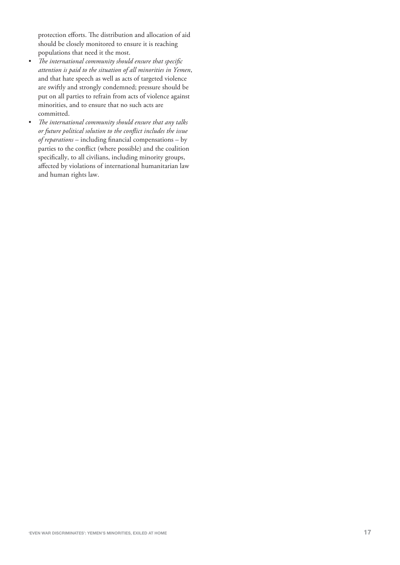protection efforts. The distribution and allocation of aid should be closely monitored to ensure it is reaching populations that need it the most.

- *The international community should ensure that specific attention is paid to the situation of all minorities in Yemen*, and that hate speech as well as acts of targeted violence are swiftly and strongly condemned; pressure should be put on all parties to refrain from acts of violence against minorities, and to ensure that no such acts are committed.
- *The international community should ensure that any talks or future political solution to the conflict includes the issue of reparations* – including financial compensations – by parties to the conflict (where possible) and the coalition specifically, to all civilians, including minority groups, affected by violations of international humanitarian law and human rights law.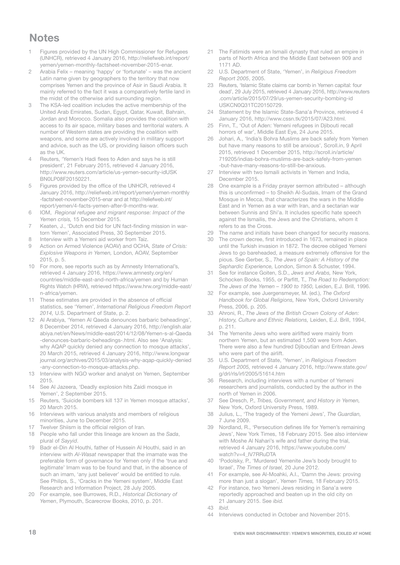## **Notes**

- 1 Figures provided by the UN High Commissioner for Refugees (UNHCR), retrieved 4 January 2016, http://reliefweb.int/report/ yemen/yemen-monthly-factsheet-november-2015-enar.
- 2 Arabia Felix meaning 'happy' or 'fortunate' was the ancient Latin name given by geographers to the territory that now comprises Yemen and the province of Asir in Saudi Arabia. It mainly referred to the fact it was a comparatively fertile land in the midst of the otherwise arid surrounding region.
- 3 The KSA-led coalition includes the active membership of the United Arab Emirates, Sudan, Egypt, Qatar, Kuwait, Bahrain, Jordan and Morocco. Somalia also provides the coalition with access to its air space, military bases and territorial waters. A number of Western states are providing the coalition with weapons, and some are actively involved in military support and advice, such as the US, or providing liaison officers such as the UK.
- 4 Reuters, 'Yemen's Hadi flees to Aden and says he is still president', 21 February 2015, retrieved 4 January 2016, http://www.reuters.com/article/us-yemen-security-idUSK BN0LP08F20150221.
- 5 Figures provided by the office of the UNHCR, retrieved 4 January 2016, http://reliefweb.int/report/yemen/yemen-monthly -factsheet-november-2015-enar and at http://reliefweb.int/ report/yemen/4-facts-yemen-after-9-months-war.
- 6 IOM, Regional refugee and migrant response: Impact of the Yemen crisis, 15 December 2015.
- 7 Keaten, J., 'Dutch end bid for UN fact-finding mission in wartorn Yemen', Associated Press, 30 September 2015.
- 8 Interview with a Yemeni aid worker from Taiz.
- 9 Action on Armed Violence (AOAV) and OCHA, State of Crisis: Explosive Weapons in Yemen, London, AOAV, September 2015, p. 5.
- 10 For more, see reports such as by Amnesty International's, retrieved 4 January 2016, https://www.amnesty.org/en/ countries/middle-east-and-north-africa/yemen and by Human Rights Watch (HRW), retrieved https://www.hrw.org/middle-east/ n-africa/yemen.
- 11 These estimates are provided in the absence of official statistics, see 'Yemen', International Religious Freedom Report 2014, U.S. Department of State, p. 2.
- 12 Al Arabiya, 'Yemen Al Qaeda denounces barbaric beheadings', 8 December 2014, retrieved 4 January 2016, http://english.alar abiya.net/en/News/middle-east/2014/12/08/Yemen-s-al-Qaeda -denounces-barbaric-beheadings-.html. Also see 'Analysis: why AQAP quickly denied any connection to mosque attacks', 20 March 2015, retrieved 4 January 2016, http://www.longwar journal.org/archives/2015/03/analysis-why-aqap-quickly-denied -any-connection-to-mosque-attacks.php.
- 13 Interview with NGO worker and analyst on Yemen, September 2015.
- 14 See Al Jazeera, 'Deadly explosion hits Zaidi mosque in Yemen', 2 September 2015.
- 15 Reuters, 'Suicide bombers kill 137 in Yemen mosque attacks', 20 March 2015.
- 16 Interviews with various analysts and members of religious minorities, June to December 2015.
- 17 Twelver Shiism is the official religion of Iran.
- 18 People who fall under this lineage are known as the Sada, plural of Sayyid.
- 19 Badr el-Din Al Houthi, father of Hussein Al Houthi, said in an interview with Al-Wasat newspaper that the imamate was the preferable form of governance for Yemen only if the 'true and legitimate' Imam was to be found and that, in the absence of such an imam, 'any just believer' would be entitled to rule. See Philips, S., 'Cracks in the Yemeni system', Middle East Research and Information Project, 28 July 2005.
- 20 For example, see Burrowes, R.D., Historical Dictionary of Yemen, Plymouth, Scarecrow Books, 2010, p. 201.
- 21 The Fatimids were an Ismaili dynasty that ruled an empire in parts of North Africa and the Middle East between 909 and 1171 AD.
- 22 U.S. Department of State, 'Yemen', in Religious Freedom Report 2005, 2005.
- 23 Reuters, 'Islamic State claims car bomb in Yemen capital: four dead', 29 July 2015, retrieved 4 January 2016, http://www.reuters .com/article/2015/07/29/us-yemen-security-bombing-id USKCN0Q31TC20150729.
- 24 Statement by the Islamic State-Sana'a Province, retrieved 4 January 2016, http://www.cssn.tk/2015/07/A23.html.
- 25 Finn, T., 'Out of Aden: Yemeni refugees in Djibouti recall horrors of war', Middle East Eye, 24 June 2015.
- 26 Johari, A., 'India's Bohra Muslims are back safely from Yemen but have many reasons to still be anxious', Scroll.in, 9 April 2015, retrieved 1 December 2015, http://scroll.in/article/ 719205/indias-bohra-muslims-are-back-safely-from-yemen -but-have-many-reasons-to-still-be-anxious.
- 27 Interview with two Ismaili activists in Yemen and India. December 2015.
- 28 One example is a Friday prayer sermon attributed although this is unconfirmed – to Sheikh Al-Sudais, Imam of the Grand Mosque in Mecca, that characterizes the wars in the Middle East and in Yemen as a war with Iran, and a sectarian war between Sunnis and Shi'a. It includes specific hate speech against the Ismailis, the Jews and the Christians, whom it refers to as the Cross.
- 29 The name and initials have been changed for security reasons.
- 30 The crown decree, first introduced in 1673, remained in place until the Turkish invasion in 1872. The decree obliged Yemeni Jews to go bareheaded, a measure extremely offensive for the pious. See Gerber, S., The Jews of Spain: A History of the Sephardic Experience, London, Simon & Schuster, 1994.
- 31 See for instance Goiten, S.D., Jews and Arabs, New York, Schocken Books, 1955, or Parfitt, T., The Road to Redemption: The Jews of the Yemen – 1900 to 1950, Leiden, E.J. Brill, 1996.
- 32 For example, see Juergensmeyer, M. (ed.), The Oxford Handbook for Global Religions, New York, Oxford University Press, 2006, p. 205.
- 33 Ahroni, R., The Jews of the British Crown Colony of Aden: History, Culture and Ethnic Relations, Leiden, E.J. Brill, 1994, p. 211.
- 34 The Yemenite Jews who were airlifted were mainly from northern Yemen, but an estimated 1,500 were from Aden. There were also a few hundred Djiboutian and Eritrean Jews who were part of the airlift.
- 35 U.S. Department of State, 'Yemen', in Religious Freedom Report 2005, retrieved 4 January 2016, http://www.state.gov/ g/drl/rls/irf/2005/51614.htm
- 36 Research, including interviews with a number of Yemeni researchers and journalists, conducted by the author in the north of Yemen in 2006.
- 37 See Dresch, P., Tribes, Government, and History in Yemen, New York, Oxford University Press, 1989.
- 38 Julius, L., 'The tragedy of the Yemeni Jews', The Guardian, 7 June 2009.
- 39 Nordland, R., 'Persecution defines life for Yemen's remaining Jews', New York Times, 18 February 2015. See also interview with Moshe Al Nahari's wife and father during the trial, retrieved 4 January 2016, https://www.youtube.com/ watch?v=4\_IV7RRuDTA
- 40 'Podolsky, P., 'Murdered Yemenite Jew's body brought to Israel', The Times of Israel, 20 June 2012.
- 41 For example, see Al-Moahki, A.I., 'Damn the Jews: proving more than just a slogan', Yemen Times, 18 February 2015.
- 42 For instance, two Yemeni Jews residing in Sana'a were reportedly approached and beaten up in the old city on 21 January 2015. See ibid.
- $13$  Ibid
- 44 Interviews conducted in October and November 2015.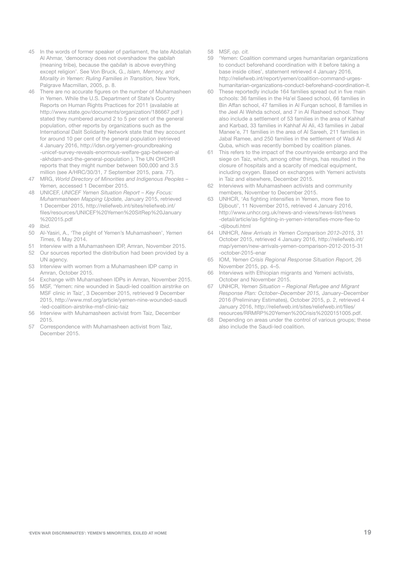- 45 In the words of former speaker of parliament, the late Abdallah Al Ahmar, 'democracy does not overshadow the qabilah (meaning tribe), because the qabilah is above everything except religion'. See Von Bruck, G., Islam, Memory, and Morality in Yemen: Ruling Families in Transition, New York, Palgrave Macmillan, 2005, p. 8.
- 46 There are no accurate figures on the number of Muhamasheen in Yemen. While the U.S. Department of State's Country Reports on Human Rights Practices for 2011 (available at http://www.state.gov/documents/organization/186667.pdf ) stated they numbered around 2 to 5 per cent of the general population, other reports by organizations such as the International Dalit Solidarity Network state that they account for around 10 per cent of the general population (retrieved 4 January 2016, http://idsn.org/yemen-groundbreaking -unicef-survey-reveals-enormous-welfare-gap-between-al -akhdam-and-the-general-population ). The UN OHCHR reports that they might number between 500,000 and 3.5 million (see A/HRC/30/31, 7 September 2015, para. 77).
- 47 MRG, World Directory of Minorities and Indigenous Peoples -Yemen, accessed 1 December 2015.
- 48 UNICEF, UNICEF Yemen Situation Report Key Focus: Muhammasheen Mapping Update, January 2015, retrieved 1 December 2015, http://reliefweb.int/sites/reliefweb.int/ files/resources/UNICEF%20Yemen%20SitRep%20January %202015.pdf
- 49 *Ibid.*<br>50 Al-Y
- Al-Yasiri, A., 'The plight of Yemen's Muhamasheen', Yemen Times, 6 May 2014.
- 51 Interview with a Muhamasheen IDP, Amran, November 2015.<br>52 Our sources reported the distribution had been provided by a
- 52 Our sources reported the distribution had been provided by a UN agency.
- 53 Interview with women from a Muhamasheen IDP camp in Amran, October 2015.
- 54 Exchange with Muhamasheen IDPs in Amran, November 2015.<br>55 MSF. 'Yemen: nine wounded in Saudi-led coalition airstrike on
- MSF, 'Yemen: nine wounded in Saudi-led coalition airstrike on MSF clinic in Taiz', 3 December 2015, retrieved 9 December 2015, http://www.msf.org/article/yemen-nine-wounded-saudi -led-coalition-airstrike-msf-clinic-taiz
- 56 Interview with Muhamasheen activist from Taiz, December 2015.
- 57 Correspondence with Muhamasheen activist from Taiz, December 2015.
- 58 MSF, op. cit.
- 59 'Yemen: Coalition command urges humanitarian organizations to conduct beforehand coordination with it before taking a base inside cities', statement retrieved 4 January 2016, http://reliefweb.int/report/yemen/coalition-command-urgeshumanitarian-organizations-conduct-beforehand-coordination-it.
- 60 These reportedly include 164 families spread out in five main schools: 36 families in the Ha'el Saeed school, 66 families in Bin Affan school, 47 families in Al Furqan school, 8 families in the Jeel Al Wehda school, and 7 in Al Rasheed school. They also include a settlement of 53 families in the area of Kahhaf and Karbad, 33 families in Kahhaf Al Ali, 43 families in Jabal Manee'e, 71 families in the area of Al Sareeh, 211 families in Jabal Ramee, and 250 families in the settlement of Wadi Al Quba, which was recently bombed by coalition planes.
- 61 This refers to the impact of the countrywide embargo and the siege on Taiz, which, among other things, has resulted in the closure of hospitals and a scarcity of medical equipment, including oxygen. Based on exchanges with Yemeni activists in Taiz and elsewhere, December 2015.
- 62 Interviews with Muhamasheen activists and community members, November to December 2015.
- 63 UNHCR, 'As fighting intensifies in Yemen, more flee to Diibouti', 11 November 2015, retrieved 4 January 2016, http://www.unhcr.org.uk/news-and-views/news-list/news -detail/article/as-fighting-in-yemen-intensifies-more-flee-to -djibouti.html
- 64 UNHCR, New Arrivals in Yemen Comparison 2012–2015, 31 October 2015, retrieved 4 January 2016, http://reliefweb.int/ map/yemen/new-arrivals-yemen-comparison-2012-2015-31 -october-2015-enar
- 65 IOM, Yemen Crisis Regional Response Situation Report, 26 November 2015, pp. 4–5.
- 66 Interviews with Ethiopian migrants and Yemeni activists, October and November 2015.
- UNHCR, Yemen Situation Regional Refugee and Migrant Response Plan: October–December 2015, January–December 2016 (Preliminary Estimates), October 2015, p. 2, retrieved 4 January 2016, http://reliefweb.int/sites/reliefweb.int/files/ resources/RRMRP%20Yemen%20Crisis%2020151005.pdf.
- 68 Depending on areas under the control of various groups; these also include the Saudi-led coalition.